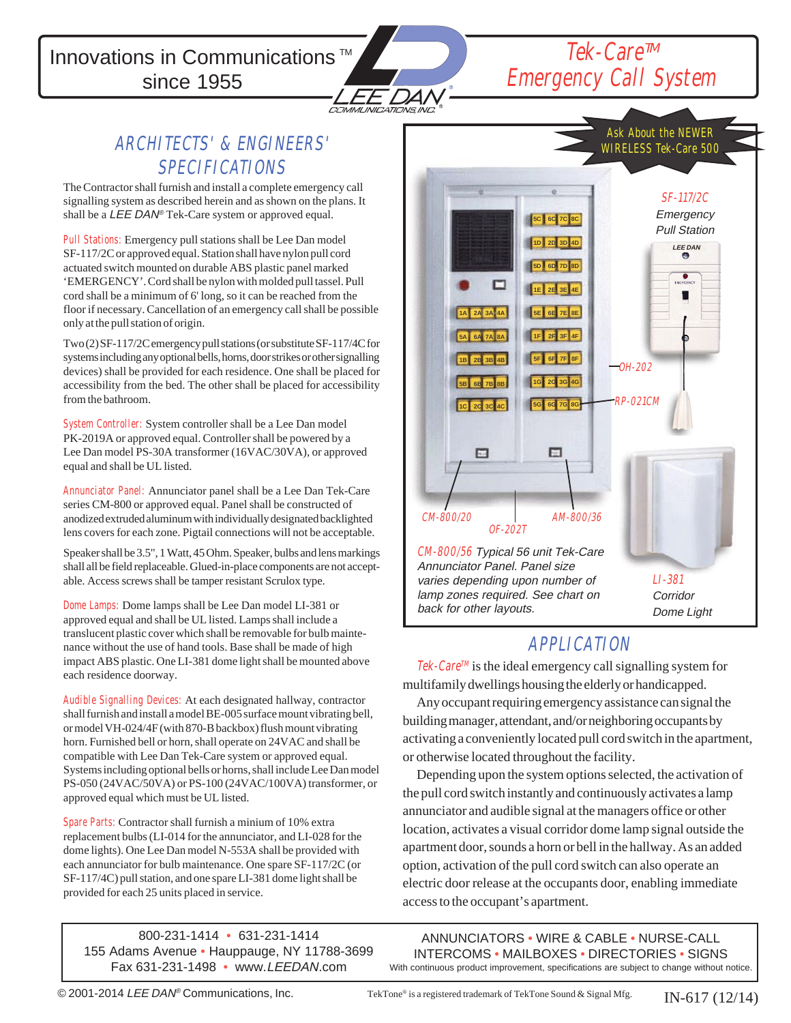Innovations in Communications<sup>™</sup> since 1955



## Tek-Care™ Emergency Call System

### ARCHITECTS' & ENGINEERS' SPECIFICATIONS

The Contractor shall furnish and install a complete emergency call signalling system as described herein and as shown on the plans. It shall be a LEE DAN<sup>®</sup> Tek-Care system or approved equal.

Pull Stations: Emergency pull stations shall be Lee Dan model SF-117/2C or approved equal. Station shall have nylon pull cord actuated switch mounted on durable ABS plastic panel marked 'EMERGENCY'. Cord shall be nylon with molded pull tassel. Pull cord shall be a minimum of 6' long, so it can be reached from the floor if necessary. Cancellation of an emergency call shall be possible only at the pull station of origin.

Two (2) SF-117/2C emergency pull stations (or substitute SF-117/4C for systems including any optional bells, horns, door strikes or other signalling devices) shall be provided for each residence. One shall be placed for accessibility from the bed. The other shall be placed for accessibility from the bathroom.

System Controller: System controller shall be a Lee Dan model PK-2019A or approved equal. Controller shall be powered by a Lee Dan model PS-30A transformer (16VAC/30VA), or approved equal and shall be UL listed.

Annunciator Panel: Annunciator panel shall be a Lee Dan Tek-Care series CM-800 or approved equal. Panel shall be constructed of anodized extruded aluminum with individually designated backlighted lens covers for each zone. Pigtail connections will not be acceptable.

Speaker shall be 3.5", 1 Watt, 45 Ohm. Speaker, bulbs and lens markings shall all be field replaceable. Glued-in-place components are not acceptable. Access screws shall be tamper resistant Scrulox type.

Dome Lamps: Dome lamps shall be Lee Dan model LI-381 or approved equal and shall be UL listed. Lamps shall include a translucent plastic cover which shall be removable for bulb maintenance without the use of hand tools. Base shall be made of high impact ABS plastic. One LI-381 dome light shall be mounted above each residence doorway.

Audible Signalling Devices: At each designated hallway, contractor shall furnish and install a model BE-005 surface mount vibrating bell, or model VH-024/4F (with 870-B backbox) flush mount vibrating horn. Furnished bell or horn, shall operate on 24VAC and shall be compatible with Lee Dan Tek-Care system or approved equal. Systems including optional bells or horns, shall include Lee Dan model PS-050 (24VAC/50VA) or PS-100 (24VAC/100VA) transformer, or approved equal which must be UL listed.

Spare Parts: Contractor shall furnish a minium of 10% extra replacement bulbs (LI-014 for the annunciator, and LI-028 for the dome lights). One Lee Dan model N-553A shall be provided with each annunciator for bulb maintenance. One spare SF-117/2C (or SF-117/4C) pull station, and one spare LI-381 dome light shall be provided for each 25 units placed in service.

800-231-1414 • 631-231-1414 155 Adams Avenue • Hauppauge, NY 11788-3699 Fax 631-231-1498 • www.LEEDAN.com



### APPLICATION

 $\mathit{Tek}\text{-}\mathit{Care}^{\mathit{TM}}$  is the ideal emergency call signalling system for multifamily dwellings housing the elderly or handicapped.

Any occupant requiring emergency assistance can signal the building manager, attendant, and/or neighboring occupants by activating a conveniently located pull cord switch in the apartment, or otherwise located throughout the facility.

Depending upon the system options selected, the activation of the pull cord switch instantly and continuously activates a lamp annunciator and audible signal at the managers office or other location, activates a visual corridor dome lamp signal outside the apartment door, sounds a horn or bell in the hallway. As an added option, activation of the pull cord switch can also operate an electric door release at the occupants door, enabling immediate access to the occupant's apartment.

ANNUNCIATORS • WIRE & CABLE • NURSE-CALL INTERCOMS • MAILBOXES • DIRECTORIES • SIGNS With continuous product improvement, specifications are subject to change without notice.